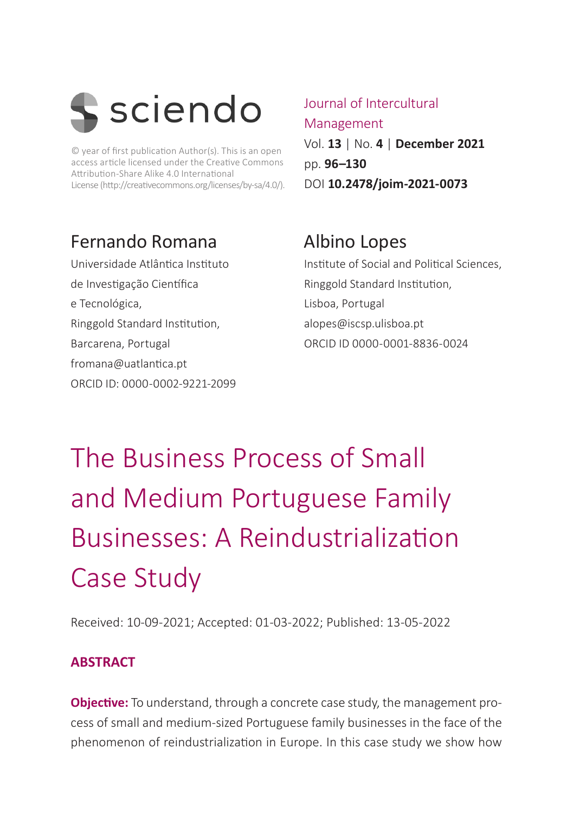

© year of first publication Author(s). This is an open access article licensed under the Creative Commons Attribution-Share Alike 4.0 International License (http://creativecommons.org/licenses/by-sa/4.0/).

# Fernando Romana

Universidade Atlântica Instituto de Investigação Científica e Tecnológica, Ringgold Standard Institution, Barcarena, Portugal fromana@uatlantica.pt ORCID ID: 0000-0002-9221-2099 Journal of Intercultural Management Vol. **13** | No. **4** | **December 2021** pp. **96–130** DOI **10.2478/joim-2021-0073**

# Albino Lopes

Institute of Social and Political Sciences, Ringgold Standard Institution, Lisboa, Portugal alopes@iscsp.ulisboa.pt ORCID ID 0000-0001-8836-0024

# The Business Process of Small and Medium Portuguese Family Businesses: A Reindustrialization Case Study

Received: 10-09-2021; Accepted: 01-03-2022; Published: 13-05-2022

## **ABSTRACT**

**Objective:** To understand, through a concrete case study, the management process of small and medium-sized Portuguese family businesses in the face of the phenomenon of reindustrialization in Europe. In this case study we show how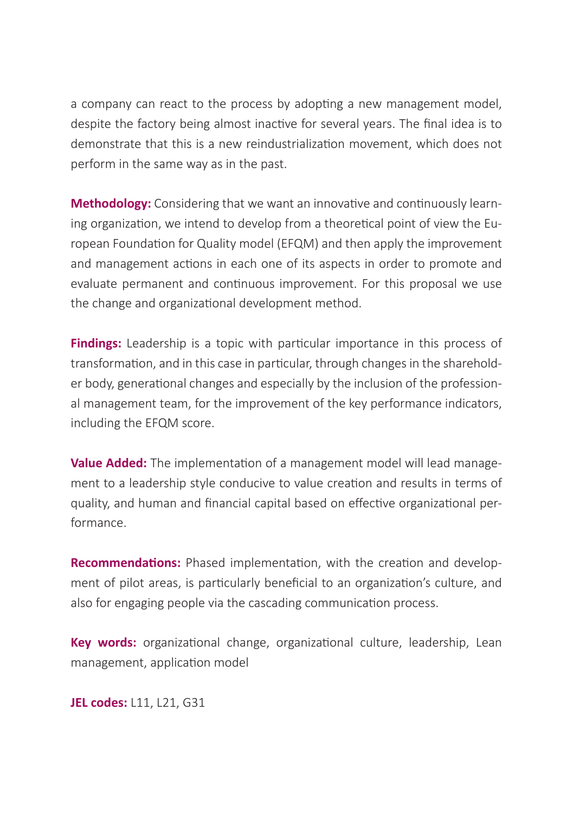a company can react to the process by adopting a new management model, despite the factory being almost inactive for several years. The final idea is to demonstrate that this is a new reindustrialization movement, which does not perform in the same way as in the past.

**Methodology:** Considering that we want an innovative and continuously learning organization, we intend to develop from a theoretical point of view the European Foundation for Quality model (EFQM) and then apply the improvement and management actions in each one of its aspects in order to promote and evaluate permanent and continuous improvement. For this proposal we use the change and organizational development method.

**Findings:** Leadership is a topic with particular importance in this process of transformation, and in this case in particular, through changes in the shareholder body, generational changes and especially by the inclusion of the professional management team, for the improvement of the key performance indicators, including the EFQM score.

**Value Added:** The implementation of a management model will lead management to a leadership style conducive to value creation and results in terms of quality, and human and financial capital based on effective organizational performance.

**Recommendations:** Phased implementation, with the creation and development of pilot areas, is particularly beneficial to an organization's culture, and also for engaging people via the cascading communication process.

**Key words:** organizational change, organizational culture, leadership, Lean management, application model

**JEL codes:** L11, L21, G31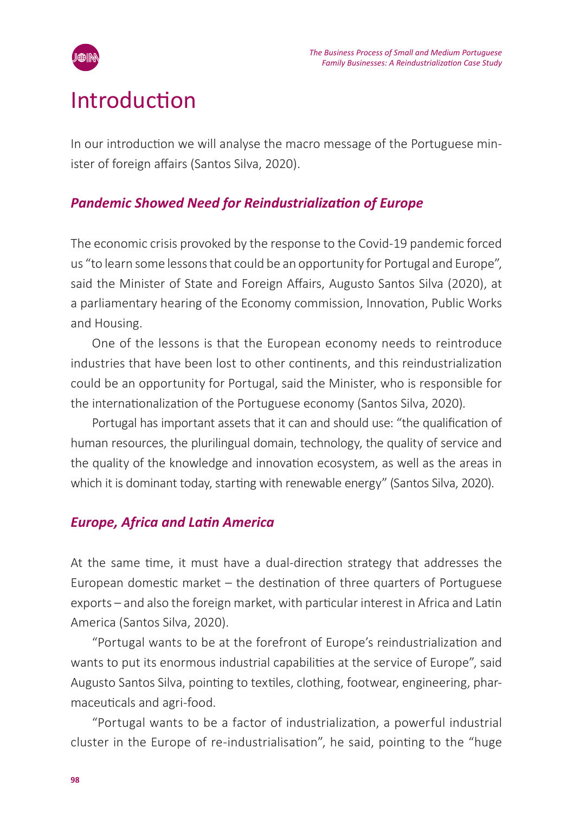

# Introduction

In our introduction we will analyse the macro message of the Portuguese minister of foreign affairs (Santos Silva, 2020).

### *Pandemic Showed Need for Reindustrialization of Europe*

The economic crisis provoked by the response to the Covid-19 pandemic forced us "to learn some lessons that could be an opportunity for Portugal and Europe", said the Minister of State and Foreign Affairs, Augusto Santos Silva (2020), at a parliamentary hearing of the Economy commission, Innovation, Public Works and Housing.

One of the lessons is that the European economy needs to reintroduce industries that have been lost to other continents, and this reindustrialization could be an opportunity for Portugal, said the Minister, who is responsible for the internationalization of the Portuguese economy (Santos Silva, 2020).

Portugal has important assets that it can and should use: "the qualification of human resources, the plurilingual domain, technology, the quality of service and the quality of the knowledge and innovation ecosystem, as well as the areas in which it is dominant today, starting with renewable energy" (Santos Silva, 2020).

### *Europe, Africa and Latin America*

At the same time, it must have a dual-direction strategy that addresses the European domestic market – the destination of three quarters of Portuguese exports – and also the foreign market, with particular interest in Africa and Latin America (Santos Silva, 2020).

"Portugal wants to be at the forefront of Europe's reindustrialization and wants to put its enormous industrial capabilities at the service of Europe", said Augusto Santos Silva, pointing to textiles, clothing, footwear, engineering, pharmaceuticals and agri-food.

"Portugal wants to be a factor of industrialization, a powerful industrial cluster in the Europe of re-industrialisation", he said, pointing to the "huge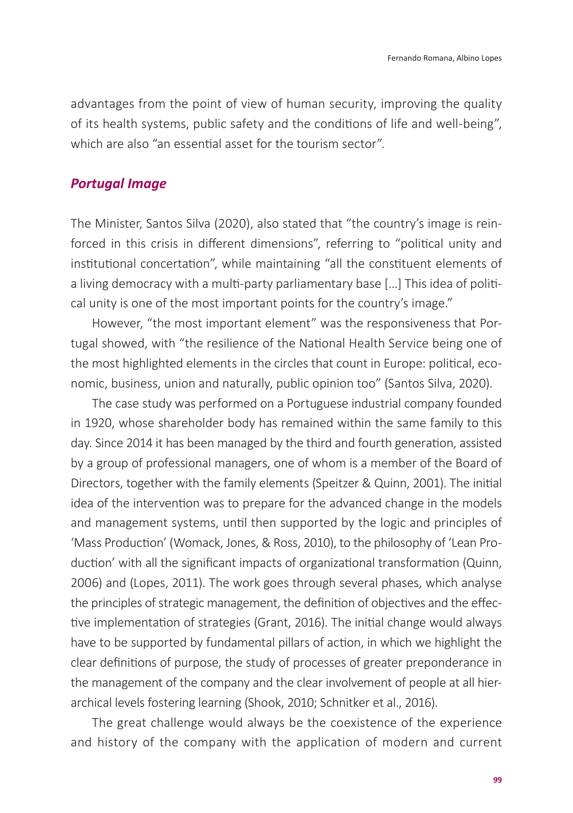advantages from the point of view of human security, improving the quality of its health systems, public safety and the conditions of life and well-being", which are also "an essential asset for the tourism sector".

### *Portugal Image*

The Minister, Santos Silva (2020), also stated that "the country's image is reinforced in this crisis in different dimensions", referring to "political unity and institutional concertation", while maintaining "all the constituent elements of a living democracy with a multi-party parliamentary base […] This idea of political unity is one of the most important points for the country's image."

However, "the most important element" was the responsiveness that Portugal showed, with "the resilience of the National Health Service being one of the most highlighted elements in the circles that count in Europe: political, economic, business, union and naturally, public opinion too" (Santos Silva, 2020).

The case study was performed on a Portuguese industrial company founded in 1920, whose shareholder body has remained within the same family to this day. Since 2014 it has been managed by the third and fourth generation, assisted by a group of professional managers, one of whom is a member of the Board of Directors, together with the family elements (Speitzer & Quinn, 2001). The initial idea of the intervention was to prepare for the advanced change in the models and management systems, until then supported by the logic and principles of 'Mass Production' (Womack, Jones, & Ross, 2010), to the philosophy of 'Lean Production' with all the significant impacts of organizational transformation (Quinn, 2006) and (Lopes, 2011). The work goes through several phases, which analyse the principles of strategic management, the definition of objectives and the effective implementation of strategies (Grant, 2016). The initial change would always have to be supported by fundamental pillars of action, in which we highlight the clear definitions of purpose, the study of processes of greater preponderance in the management of the company and the clear involvement of people at all hierarchical levels fostering learning (Shook, 2010; Schnitker et al., 2016).

The great challenge would always be the coexistence of the experience and history of the company with the application of modern and current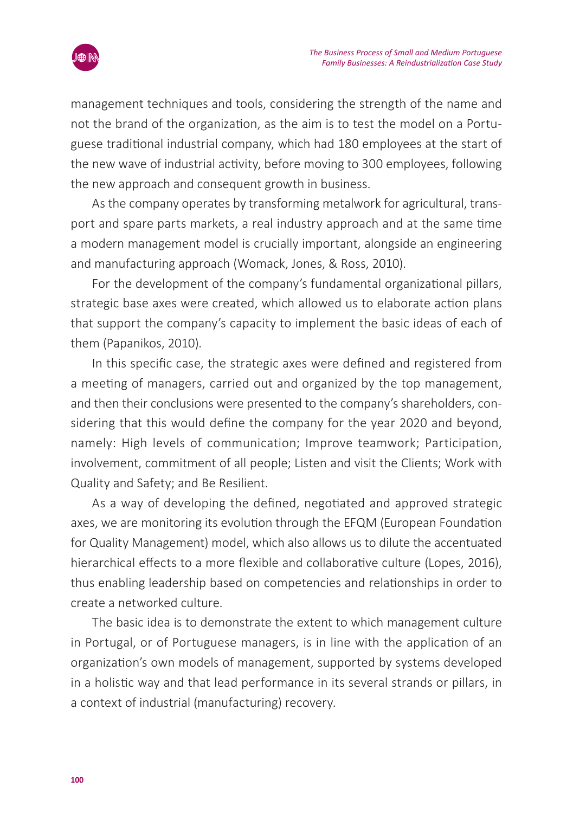

management techniques and tools, considering the strength of the name and not the brand of the organization, as the aim is to test the model on a Portuguese traditional industrial company, which had 180 employees at the start of the new wave of industrial activity, before moving to 300 employees, following the new approach and consequent growth in business.

As the company operates by transforming metalwork for agricultural, transport and spare parts markets, a real industry approach and at the same time a modern management model is crucially important, alongside an engineering and manufacturing approach (Womack, Jones, & Ross, 2010).

For the development of the company's fundamental organizational pillars, strategic base axes were created, which allowed us to elaborate action plans that support the company's capacity to implement the basic ideas of each of them (Papanikos, 2010).

In this specific case, the strategic axes were defined and registered from a meeting of managers, carried out and organized by the top management, and then their conclusions were presented to the company's shareholders, considering that this would define the company for the year 2020 and beyond, namely: High levels of communication; Improve teamwork; Participation, involvement, commitment of all people; Listen and visit the Clients; Work with Quality and Safety; and Be Resilient.

As a way of developing the defined, negotiated and approved strategic axes, we are monitoring its evolution through the EFQM (European Foundation for Quality Management) model, which also allows us to dilute the accentuated hierarchical effects to a more flexible and collaborative culture (Lopes, 2016), thus enabling leadership based on competencies and relationships in order to create a networked culture.

The basic idea is to demonstrate the extent to which management culture in Portugal, or of Portuguese managers, is in line with the application of an organization's own models of management, supported by systems developed in a holistic way and that lead performance in its several strands or pillars, in a context of industrial (manufacturing) recovery.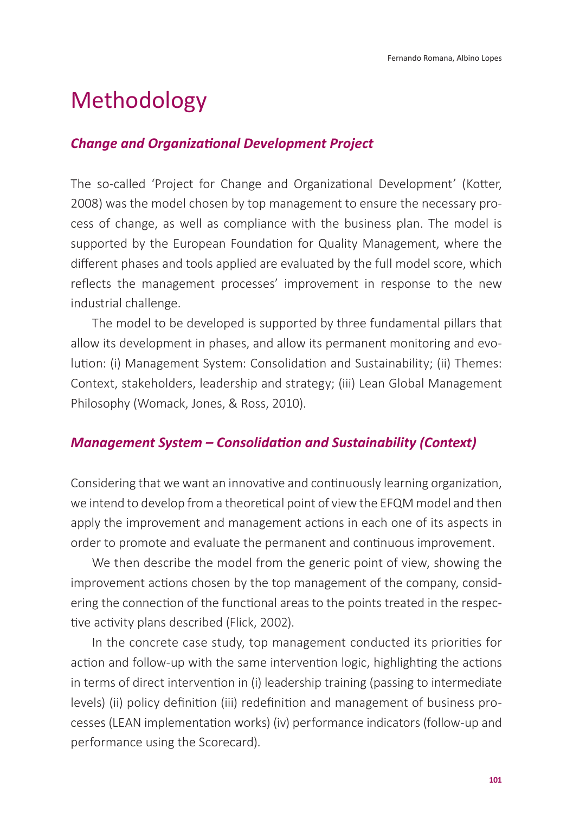# Methodology

### *Change and Organizational Development Project*

The so-called 'Project for Change and Organizational Development' (Kotter, 2008) was the model chosen by top management to ensure the necessary process of change, as well as compliance with the business plan. The model is supported by the European Foundation for Quality Management, where the different phases and tools applied are evaluated by the full model score, which reflects the management processes' improvement in response to the new industrial challenge.

The model to be developed is supported by three fundamental pillars that allow its development in phases, and allow its permanent monitoring and evolution: (i) Management System: Consolidation and Sustainability; (ii) Themes: Context, stakeholders, leadership and strategy; (iii) Lean Global Management Philosophy (Womack, Jones, & Ross, 2010).

### *Management System – Consolidation and Sustainability (Context)*

Considering that we want an innovative and continuously learning organization, we intend to develop from a theoretical point of view the EFQM model and then apply the improvement and management actions in each one of its aspects in order to promote and evaluate the permanent and continuous improvement.

We then describe the model from the generic point of view, showing the improvement actions chosen by the top management of the company, considering the connection of the functional areas to the points treated in the respective activity plans described (Flick, 2002).

In the concrete case study, top management conducted its priorities for action and follow-up with the same intervention logic, highlighting the actions in terms of direct intervention in (i) leadership training (passing to intermediate levels) (ii) policy definition (iii) redefinition and management of business processes (LEAN implementation works) (iv) performance indicators (follow-up and performance using the Scorecard).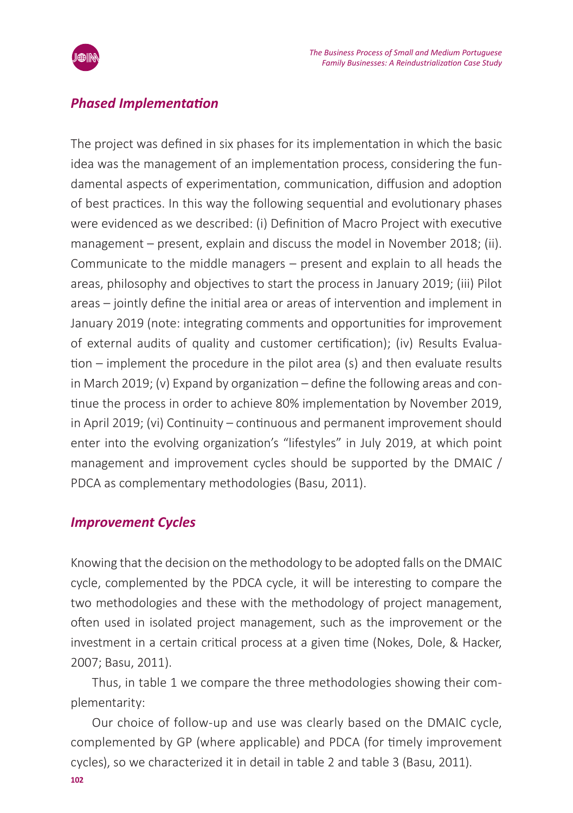

### *Phased Implementation*

The project was defined in six phases for its implementation in which the basic idea was the management of an implementation process, considering the fundamental aspects of experimentation, communication, diffusion and adoption of best practices. In this way the following sequential and evolutionary phases were evidenced as we described: (i) Definition of Macro Project with executive management – present, explain and discuss the model in November 2018; (ii). Communicate to the middle managers – present and explain to all heads the areas, philosophy and objectives to start the process in January 2019; (iii) Pilot areas – jointly define the initial area or areas of intervention and implement in January 2019 (note: integrating comments and opportunities for improvement of external audits of quality and customer certification); (iv) Results Evaluation – implement the procedure in the pilot area (s) and then evaluate results in March 2019; (v) Expand by organization – define the following areas and continue the process in order to achieve 80% implementation by November 2019, in April 2019; (vi) Continuity – continuous and permanent improvement should enter into the evolving organization's "lifestyles" in July 2019, at which point management and improvement cycles should be supported by the DMAIC / PDCA as complementary methodologies (Basu, 2011).

### *Improvement Cycles*

Knowing that the decision on the methodology to be adopted falls on the DMAIC cycle, complemented by the PDCA cycle, it will be interesting to compare the two methodologies and these with the methodology of project management, often used in isolated project management, such as the improvement or the investment in a certain critical process at a given time (Nokes, Dole, & Hacker, 2007; Basu, 2011).

Thus, in table 1 we compare the three methodologies showing their complementarity:

Our choice of follow-up and use was clearly based on the DMAIC cycle, complemented by GP (where applicable) and PDCA (for timely improvement cycles), so we characterized it in detail in table 2 and table 3 (Basu, 2011).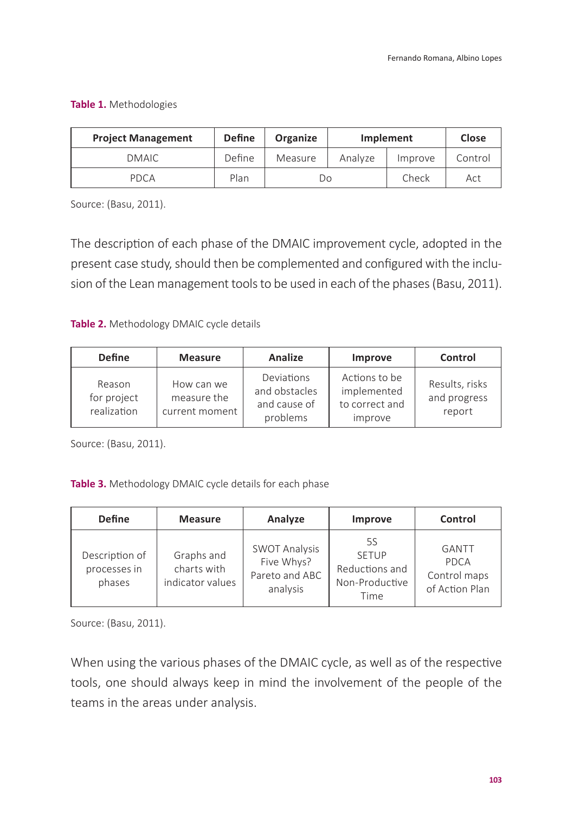### **Table 1.** Methodologies

| <b>Project Management</b> | <b>Define</b> | <b>Organize</b> | Implement |         | Close   |
|---------------------------|---------------|-----------------|-----------|---------|---------|
| DMAIC                     | Define        | Measure         | Analyze   | Improve | Control |
| PDCA                      | Plan          | Do              |           | Check   | Act     |

Source: (Basu, 2011).

The description of each phase of the DMAIC improvement cycle, adopted in the present case study, should then be complemented and configured with the inclusion of the Lean management tools to be used in each of the phases (Basu, 2011).

**Table 2.** Methodology DMAIC cycle details

| <b>Define</b>                        | <b>Measure</b>                              | <b>Analize</b>                                          | Improve                                                   | Control                                  |
|--------------------------------------|---------------------------------------------|---------------------------------------------------------|-----------------------------------------------------------|------------------------------------------|
| Reason<br>for project<br>realization | How can we<br>measure the<br>current moment | Deviations<br>and obstacles<br>and cause of<br>problems | Actions to be<br>implemented<br>to correct and<br>improve | Results, risks<br>and progress<br>report |

Source: (Basu, 2011).

**Table 3.** Methodology DMAIC cycle details for each phase

| <b>Define</b>                            | <b>Measure</b>                                | Analyze                                                          | Improve                                                        | Control                                         |
|------------------------------------------|-----------------------------------------------|------------------------------------------------------------------|----------------------------------------------------------------|-------------------------------------------------|
| Description of<br>processes in<br>phases | Graphs and<br>charts with<br>indicator values | <b>SWOT Analysis</b><br>Five Whys?<br>Pareto and ABC<br>analysis | 5S<br><b>SETUP</b><br>Reductions and<br>Non-Productive<br>Time | GANTT<br>PDCA<br>Control maps<br>of Action Plan |

Source: (Basu, 2011).

When using the various phases of the DMAIC cycle, as well as of the respective tools, one should always keep in mind the involvement of the people of the teams in the areas under analysis.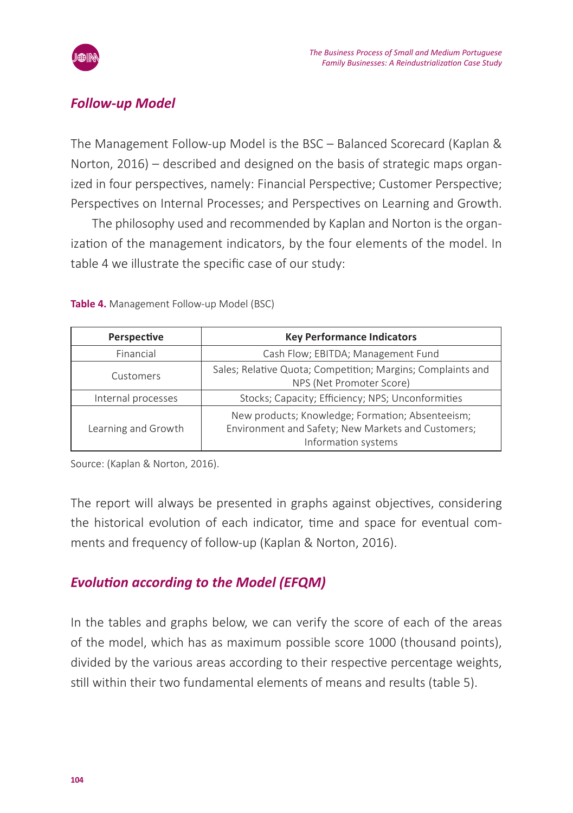

### *Follow-up Model*

The Management Follow-up Model is the BSC – Balanced Scorecard (Kaplan & Norton, 2016) – described and designed on the basis of strategic maps organized in four perspectives, namely: Financial Perspective; Customer Perspective; Perspectives on Internal Processes; and Perspectives on Learning and Growth.

The philosophy used and recommended by Kaplan and Norton is the organization of the management indicators, by the four elements of the model. In table 4 we illustrate the specific case of our study:

| Perspective         | <b>Key Performance Indicators</b>                                                                                             |  |  |
|---------------------|-------------------------------------------------------------------------------------------------------------------------------|--|--|
| Financial           | Cash Flow; EBITDA; Management Fund                                                                                            |  |  |
| Customers           | Sales; Relative Quota; Competition; Margins; Complaints and<br>NPS (Net Promoter Score)                                       |  |  |
| Internal processes  | Stocks; Capacity; Efficiency; NPS; Unconformities                                                                             |  |  |
| Learning and Growth | New products; Knowledge; Formation; Absenteeism;<br>Environment and Safety; New Markets and Customers;<br>Information systems |  |  |

**Table 4.** Management Follow-up Model (BSC)

Source: (Kaplan & Norton, 2016).

The report will always be presented in graphs against objectives, considering the historical evolution of each indicator, time and space for eventual comments and frequency of follow-up (Kaplan & Norton, 2016).

### *Evolution according to the Model (EFQM)*

In the tables and graphs below, we can verify the score of each of the areas of the model, which has as maximum possible score 1000 (thousand points), divided by the various areas according to their respective percentage weights, still within their two fundamental elements of means and results (table 5).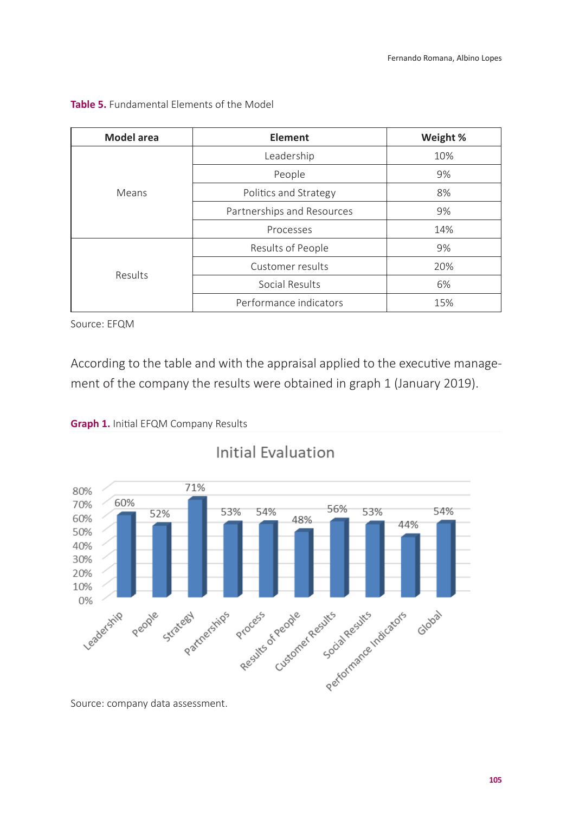| <b>Model</b> area | Element                    | Weight % |
|-------------------|----------------------------|----------|
|                   | Leadership                 | 10%      |
|                   | People                     | 9%       |
| Means             | Politics and Strategy      | 8%       |
|                   | Partnerships and Resources | 9%       |
|                   | Processes                  | 14%      |
|                   | Results of People          | 9%       |
|                   | Customer results           | 20%      |
| Results           | Social Results             | 6%       |
|                   | Performance indicators     | 15%      |

### **Table 5.** Fundamental Elements of the Model

Source: EFQM

According to the table and with the appraisal applied to the executive management of the company the results were obtained in graph 1 (January 2019).





Initial Evaluation

Source: company data assessment.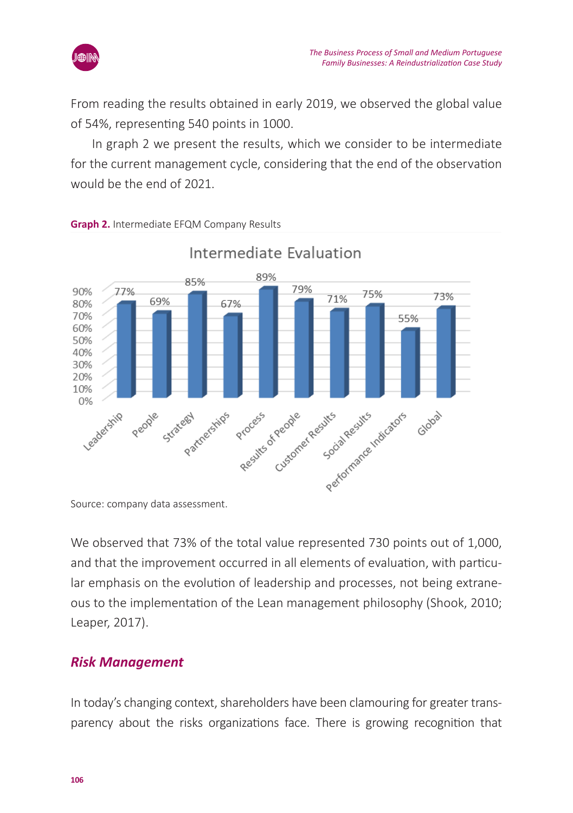

From reading the results obtained in early 2019, we observed the global value of 54%, representing 540 points in 1000.

In graph 2 we present the results, which we consider to be intermediate for the current management cycle, considering that the end of the observation would be the end of 2021.



#### **Graph 2.** Intermediate EFQM Company Results

We observed that 73% of the total value represented 730 points out of 1,000, and that the improvement occurred in all elements of evaluation, with particular emphasis on the evolution of leadership and processes, not being extraneous to the implementation of the Lean management philosophy (Shook, 2010; Leaper, 2017).

### *Risk Management*

In today's changing context, shareholders have been clamouring for greater transparency about the risks organizations face. There is growing recognition that

Source: company data assessment.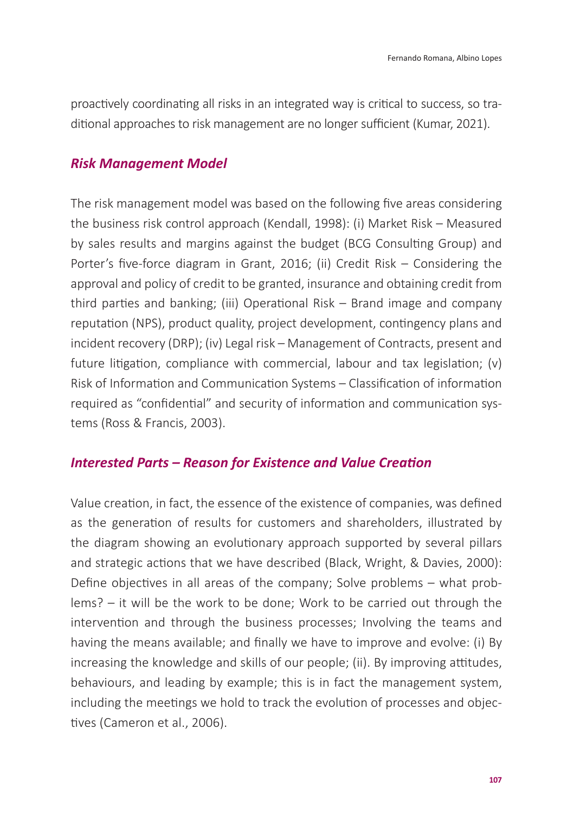proactively coordinating all risks in an integrated way is critical to success, so traditional approaches to risk management are no longer sufficient (Kumar, 2021).

### *Risk Management Model*

The risk management model was based on the following five areas considering the business risk control approach (Kendall, 1998): (i) Market Risk – Measured by sales results and margins against the budget (BCG Consulting Group) and Porter's five-force diagram in Grant, 2016; (ii) Credit Risk – Considering the approval and policy of credit to be granted, insurance and obtaining credit from third parties and banking; (iii) Operational Risk – Brand image and company reputation (NPS), product quality, project development, contingency plans and incident recovery (DRP); (iv) Legal risk – Management of Contracts, present and future litigation, compliance with commercial, labour and tax legislation; (v) Risk of Information and Communication Systems – Classification of information required as "confidential" and security of information and communication systems (Ross & Francis, 2003).

### *Interested Parts – Reason for Existence and Value Creation*

Value creation, in fact, the essence of the existence of companies, was defined as the generation of results for customers and shareholders, illustrated by the diagram showing an evolutionary approach supported by several pillars and strategic actions that we have described (Black, Wright, & Davies, 2000): Define objectives in all areas of the company; Solve problems – what problems? – it will be the work to be done; Work to be carried out through the intervention and through the business processes; Involving the teams and having the means available; and finally we have to improve and evolve: (i) By increasing the knowledge and skills of our people; (ii). By improving attitudes, behaviours, and leading by example; this is in fact the management system, including the meetings we hold to track the evolution of processes and objectives (Cameron et al., 2006).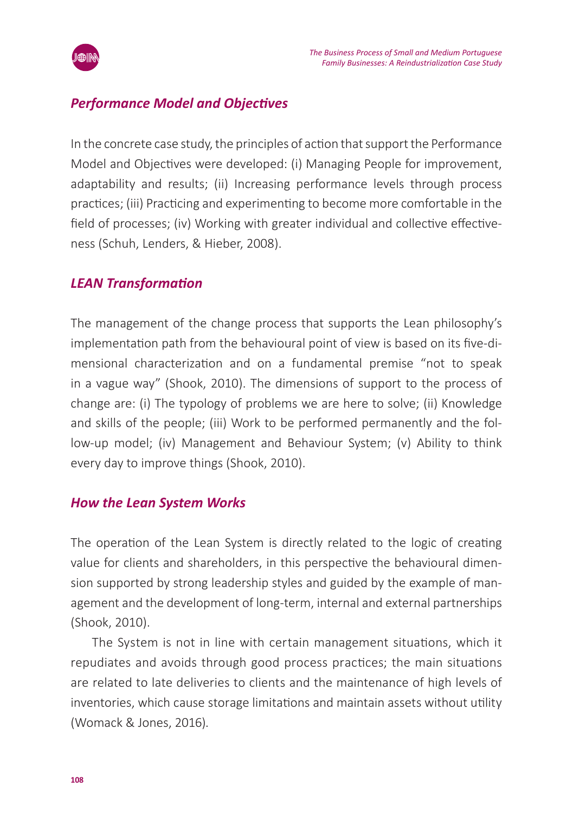

### *Performance Model and Objectives*

In the concrete case study, the principles of action that support the Performance Model and Objectives were developed: (i) Managing People for improvement, adaptability and results; (ii) Increasing performance levels through process practices; (iii) Practicing and experimenting to become more comfortable in the field of processes; (iv) Working with greater individual and collective effectiveness (Schuh, Lenders, & Hieber, 2008).

### *LEAN Transformation*

The management of the change process that supports the Lean philosophy's implementation path from the behavioural point of view is based on its five-dimensional characterization and on a fundamental premise "not to speak in a vague way" (Shook, 2010). The dimensions of support to the process of change are: (i) The typology of problems we are here to solve; (ii) Knowledge and skills of the people; (iii) Work to be performed permanently and the follow-up model; (iv) Management and Behaviour System; (v) Ability to think every day to improve things (Shook, 2010).

### *How the Lean System Works*

The operation of the Lean System is directly related to the logic of creating value for clients and shareholders, in this perspective the behavioural dimension supported by strong leadership styles and guided by the example of management and the development of long-term, internal and external partnerships (Shook, 2010).

The System is not in line with certain management situations, which it repudiates and avoids through good process practices; the main situations are related to late deliveries to clients and the maintenance of high levels of inventories, which cause storage limitations and maintain assets without utility (Womack & Jones, 2016).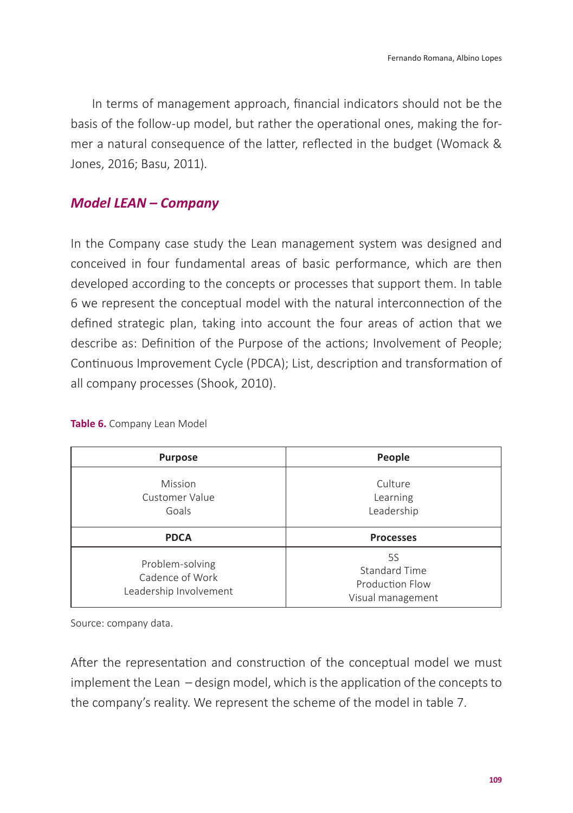In terms of management approach, financial indicators should not be the basis of the follow-up model, but rather the operational ones, making the former a natural consequence of the latter, reflected in the budget (Womack & Jones, 2016; Basu, 2011).

### *Model LEAN – Company*

In the Company case study the Lean management system was designed and conceived in four fundamental areas of basic performance, which are then developed according to the concepts or processes that support them. In table 6 we represent the conceptual model with the natural interconnection of the defined strategic plan, taking into account the four areas of action that we describe as: Definition of the Purpose of the actions; Involvement of People; Continuous Improvement Cycle (PDCA); List, description and transformation of all company processes (Shook, 2010).

| <b>Purpose</b>                                               | People                                                      |
|--------------------------------------------------------------|-------------------------------------------------------------|
| Mission<br>Customer Value<br>Goals                           | Culture<br>Learning<br>Leadership                           |
| <b>PDCA</b>                                                  | <b>Processes</b>                                            |
| Problem-solving<br>Cadence of Work<br>Leadership Involvement | 5S<br>Standard Time<br>Production Flow<br>Visual management |

#### **Table 6.** Company Lean Model

Source: company data.

After the representation and construction of the conceptual model we must implement the Lean – design model, which is the application of the concepts to the company's reality. We represent the scheme of the model in table 7.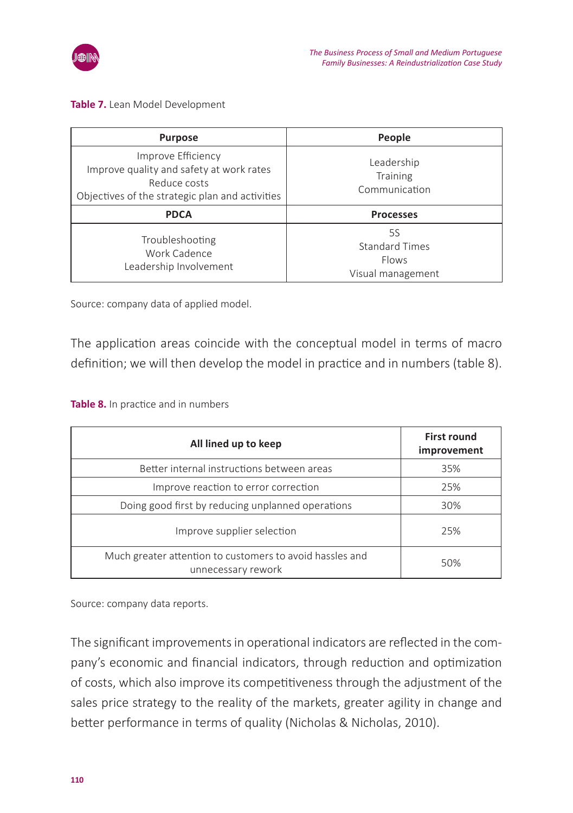

#### **Table 7.** Lean Model Development

| <b>Purpose</b>                                                                                                                    | People                                                    |
|-----------------------------------------------------------------------------------------------------------------------------------|-----------------------------------------------------------|
| Improve Efficiency<br>Improve quality and safety at work rates<br>Reduce costs<br>Objectives of the strategic plan and activities | Leadership<br>Training<br>Communication                   |
| <b>PDCA</b>                                                                                                                       | <b>Processes</b>                                          |
| Troubleshooting<br>Work Cadence<br>Leadership Involvement                                                                         | 5S<br><b>Standard Times</b><br>Flows<br>Visual management |

Source: company data of applied model.

The application areas coincide with the conceptual model in terms of macro definition; we will then develop the model in practice and in numbers (table 8).

**Table 8.** In practice and in numbers

| All lined up to keep                                                           | <b>First round</b><br>improvement |
|--------------------------------------------------------------------------------|-----------------------------------|
| Better internal instructions between areas                                     | 35%                               |
| Improve reaction to error correction                                           | 25%                               |
| Doing good first by reducing unplanned operations                              | 30%                               |
| Improve supplier selection                                                     | 25%                               |
| Much greater attention to customers to avoid hassles and<br>unnecessary rework | 50%                               |

Source: company data reports.

The significant improvements in operational indicators are reflected in the company's economic and financial indicators, through reduction and optimization of costs, which also improve its competitiveness through the adjustment of the sales price strategy to the reality of the markets, greater agility in change and better performance in terms of quality (Nicholas & Nicholas, 2010).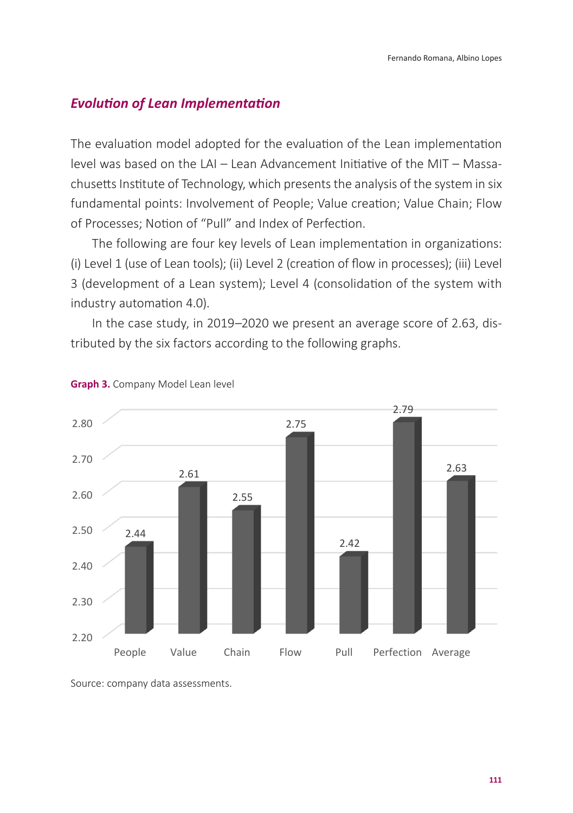# **Evolution of Lean Implementation**

The evaluation model adopted for the evaluation of the Lean implementation Evolution of Lean Implementation level was based on the LAI – Lean Advancement Initiative of the MIT – Massachusetts Institute of Technology, which presents the analysis of the system in six fundamental points: Involvement of People; Value creation; Value Chain; Flow of Processes; Notion of "Pull" and Index of Perfection.

The following are four key levels of Lean implementation in organizations: (i) Level 1 (use of Lean tools); (ii) Level 2 (creation of flow in processes); (iii) Level 3 (development of a Lean system); Level 4 (consolidation of the system with industry automation 4.0). The following are four key levels of Lean implementation in organizations: (i) Level 1 (use of Lean tools); (i)  $\mu$ (i) Level 1 (use of Lean tools), (ii) Level 2 (deation of now in processes), (iii) Level

In the case study, in 2019–2020 we present an average score of 2.63, distributed by the six factors according to the following graphs. according to the following graphs.



#### **Graph 3.** Company Model Lean level

Source: company data assessments. Source: company data assessments.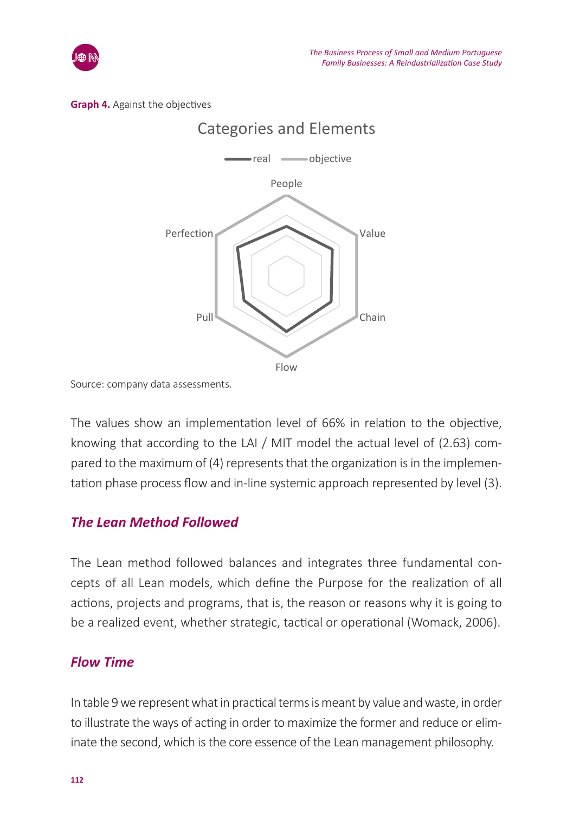





Source: company data assessments.

The values show an implementation level of 66% in relation to the objective, knowing that according to the LAI / MIT model the actual level of  $(2.63)$  com- $\frac{1}{2}$  and  $\frac{1}{2}$  and  $\frac{1}{2}$  and  $\frac{1}{2}$  and  $\frac{1}{2}$  and  $\frac{1}{2}$  and  $\frac{1}{2}$  and  $\frac{1}{2}$  and  $\frac{1}{2}$  and  $\frac{1}{2}$  and  $\frac{1}{2}$  and  $\frac{1}{2}$  and  $\frac{1}{2}$  and  $\frac{1}{2}$  represents that the organizat tation phase process flow and in-line systemic approach represented by level (3). level (3). parca to the maximum or  $(\tau)$  represents that the organization is in the implement

# *The Lean Method Followed* The Lean Method followed

The Lean method followed balances and integrates three fundamental concepts of all Lean models, which define the Purpose for the realization of all actions, projects and programs, that is, the reason or reasons why it is going to be a realized event, whether strategic, tactical or operational (Womack, 2006).<br>

#### *Flow Time*  $I = I \times I$  we represent what in practical terms is meant by value and waste, in order to in order to illustrate the total terms is measured to in order the total terms is measured to in order the total terms in order to in

In table 9 we represent what in practical terms is meant by value and waste, in order to illustrate the ways of acting in order to maximize the former and reduce or eliminate the second, which is the core essence of the Lean management philosophy.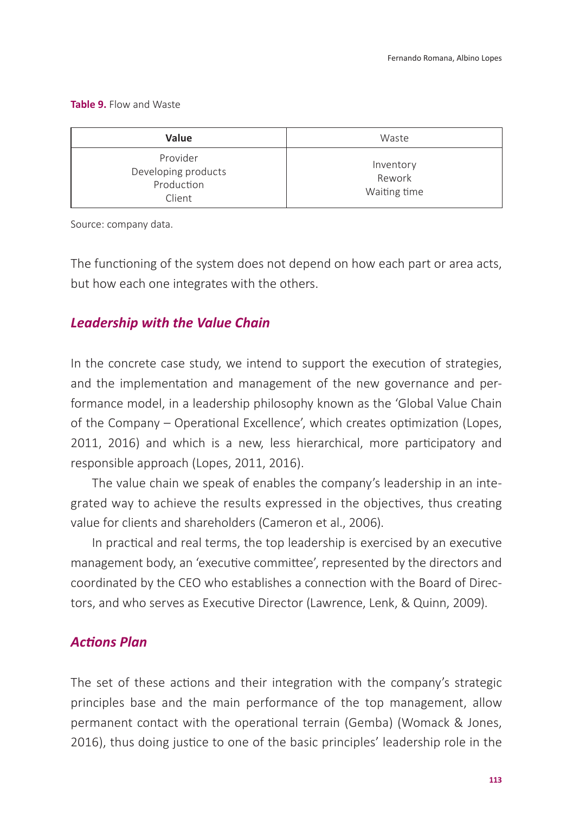**Table 9.** Flow and Waste

| Value                                                   | Waste                               |
|---------------------------------------------------------|-------------------------------------|
| Provider<br>Developing products<br>Production<br>Client | Inventory<br>Rework<br>Waiting time |

Source: company data.

The functioning of the system does not depend on how each part or area acts, but how each one integrates with the others.

### *Leadership with the Value Chain*

In the concrete case study, we intend to support the execution of strategies, and the implementation and management of the new governance and performance model, in a leadership philosophy known as the 'Global Value Chain of the Company – Operational Excellence', which creates optimization (Lopes, 2011, 2016) and which is a new, less hierarchical, more participatory and responsible approach (Lopes, 2011, 2016).

The value chain we speak of enables the company's leadership in an integrated way to achieve the results expressed in the objectives, thus creating value for clients and shareholders (Cameron et al., 2006).

In practical and real terms, the top leadership is exercised by an executive management body, an 'executive committee', represented by the directors and coordinated by the CEO who establishes a connection with the Board of Directors, and who serves as Executive Director (Lawrence, Lenk, & Quinn, 2009).

### *Actions Plan*

The set of these actions and their integration with the company's strategic principles base and the main performance of the top management, allow permanent contact with the operational terrain (Gemba) (Womack & Jones, 2016), thus doing justice to one of the basic principles' leadership role in the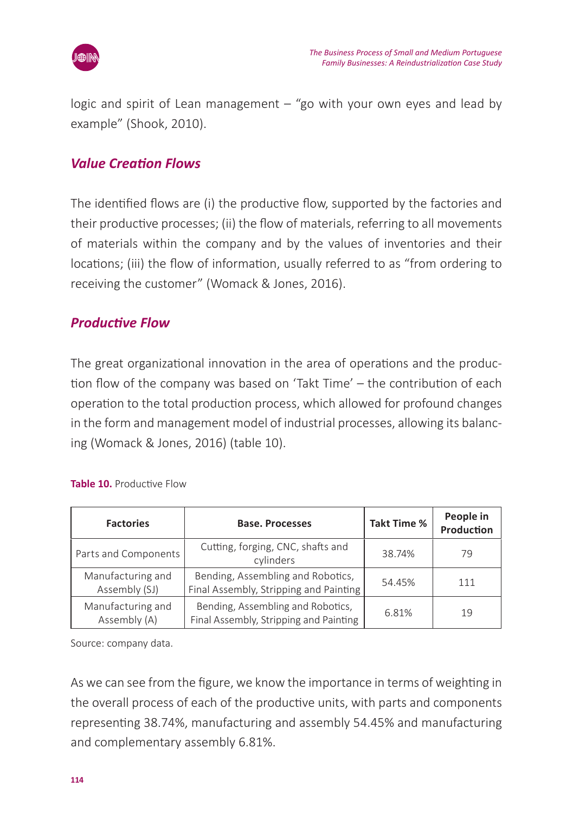

logic and spirit of Lean management – "go with your own eyes and lead by example" (Shook, 2010).

### *Value Creation Flows*

The identified flows are (i) the productive flow, supported by the factories and their productive processes; (ii) the flow of materials, referring to all movements of materials within the company and by the values of inventories and their locations; (iii) the flow of information, usually referred to as "from ordering to receiving the customer" (Womack & Jones, 2016).

### *Productive Flow*

The great organizational innovation in the area of operations and the production flow of the company was based on 'Takt Time' – the contribution of each operation to the total production process, which allowed for profound changes in the form and management model of industrial processes, allowing its balancing (Womack & Jones, 2016) (table 10).

| <b>Factories</b>                   | <b>Base. Processes</b>                                                      | Takt Time % | People in<br>Production |
|------------------------------------|-----------------------------------------------------------------------------|-------------|-------------------------|
| Parts and Components               | Cutting, forging, CNC, shafts and<br>cylinders                              | 38.74%      | 79                      |
| Manufacturing and<br>Assembly (SJ) | Bending, Assembling and Robotics,<br>Final Assembly, Stripping and Painting | 54.45%      | 111                     |
| Manufacturing and<br>Assembly (A)  | Bending, Assembling and Robotics,<br>Final Assembly, Stripping and Painting | 6.81%       | 19                      |

#### **Table 10.** Productive Flow

Source: company data.

As we can see from the figure, we know the importance in terms of weighting in the overall process of each of the productive units, with parts and components representing 38.74%, manufacturing and assembly 54.45% and manufacturing and complementary assembly 6.81%.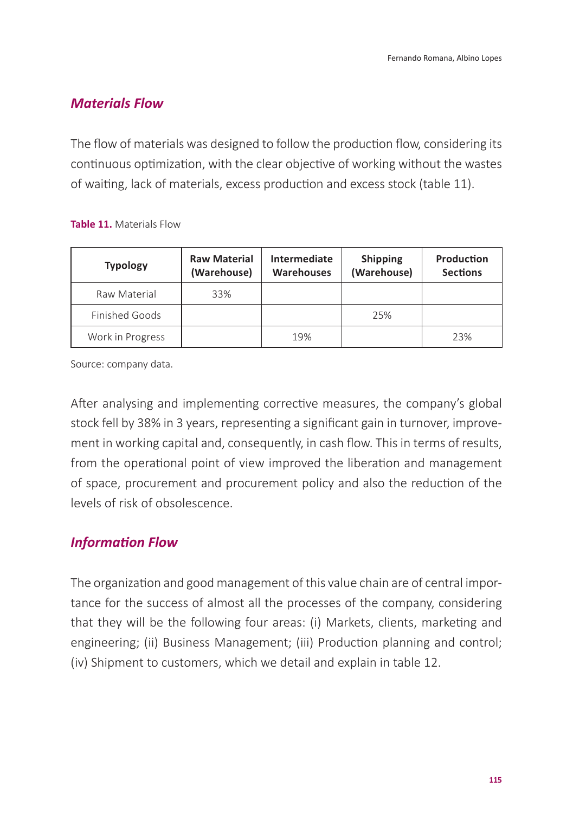### *Materials Flow*

The flow of materials was designed to follow the production flow, considering its continuous optimization, with the clear objective of working without the wastes of waiting, lack of materials, excess production and excess stock (table 11).

#### **Table 11.** Materials Flow

| <b>Typology</b>  | <b>Raw Material</b><br>(Warehouse) | Intermediate<br><b>Warehouses</b> | <b>Shipping</b><br>(Warehouse) | Production<br><b>Sections</b> |
|------------------|------------------------------------|-----------------------------------|--------------------------------|-------------------------------|
| Raw Material     | 33%                                |                                   |                                |                               |
| Finished Goods   |                                    |                                   | 25%                            |                               |
| Work in Progress |                                    | 19%                               |                                | 23%                           |

Source: company data.

After analysing and implementing corrective measures, the company's global stock fell by 38% in 3 years, representing a significant gain in turnover, improvement in working capital and, consequently, in cash flow. This in terms of results, from the operational point of view improved the liberation and management of space, procurement and procurement policy and also the reduction of the levels of risk of obsolescence.

### *Information Flow*

The organization and good management of this value chain are of central importance for the success of almost all the processes of the company, considering that they will be the following four areas: (i) Markets, clients, marketing and engineering; (ii) Business Management; (iii) Production planning and control; (iv) Shipment to customers, which we detail and explain in table 12.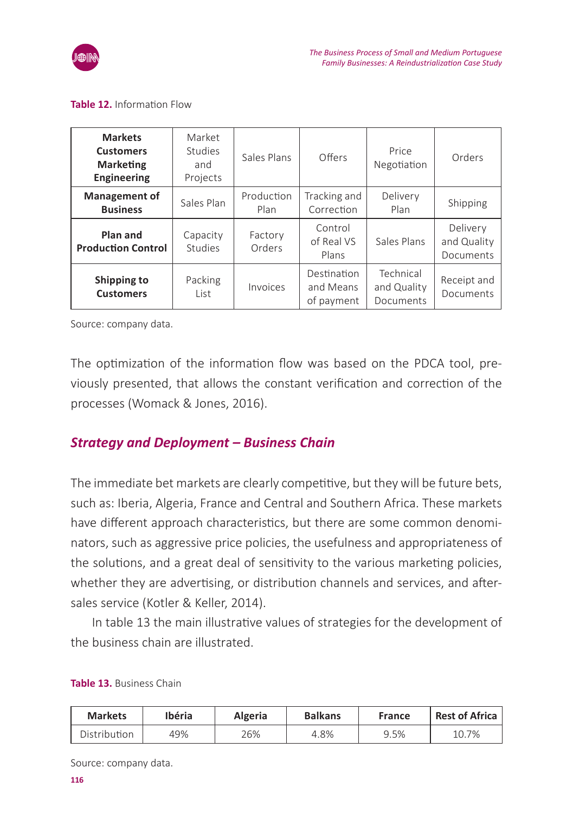

#### **Table 12.** Information Flow

| <b>Markets</b><br><b>Customers</b><br><b>Marketing</b><br><b>Engineering</b> | Market<br>Studies<br>and<br>Projects | Sales Plans        | Offers                                 | Price<br>Negotiation                  | Orders                               |
|------------------------------------------------------------------------------|--------------------------------------|--------------------|----------------------------------------|---------------------------------------|--------------------------------------|
| Management of<br><b>Business</b>                                             | Sales Plan                           | Production<br>Plan | Tracking and<br>Correction             | Delivery<br>Plan                      | Shipping                             |
| Plan and<br><b>Production Control</b>                                        | Capacity<br>Studies                  | Factory<br>Orders  | Control<br>of Real VS<br>Plans         | Sales Plans                           | Delivery<br>and Quality<br>Documents |
| Shipping to<br><b>Customers</b>                                              | Packing<br>List                      | Invoices           | Destination<br>and Means<br>of payment | Technical<br>and Quality<br>Documents | Receipt and<br>Documents             |

Source: company data.

The optimization of the information flow was based on the PDCA tool, previously presented, that allows the constant verification and correction of the processes (Womack & Jones, 2016).

### *Strategy and Deployment – Business Chain*

The immediate bet markets are clearly competitive, but they will be future bets, such as: Iberia, Algeria, France and Central and Southern Africa. These markets have different approach characteristics, but there are some common denominators, such as aggressive price policies, the usefulness and appropriateness of the solutions, and a great deal of sensitivity to the various marketing policies, whether they are advertising, or distribution channels and services, and aftersales service (Kotler & Keller, 2014).

In table 13 the main illustrative values of strategies for the development of the business chain are illustrated.

| <b>Markets</b> | <b>Ibéria</b> | Algeria | <b>Balkans</b> | France | Rest of Africa |
|----------------|---------------|---------|----------------|--------|----------------|
| Distribution   | 49%           | 26%     | 4.8%           | 9.5%   | 10.7%          |

**Table 13.** Business Chain

Source: company data.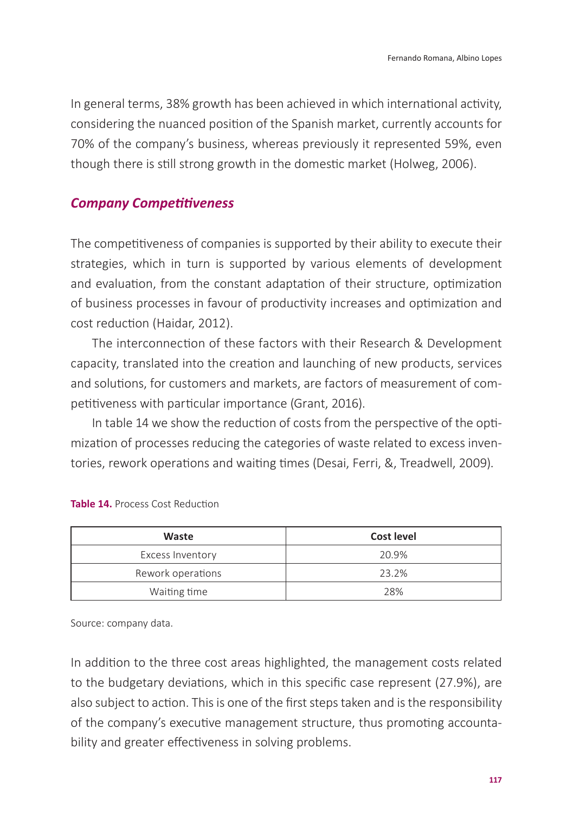In general terms, 38% growth has been achieved in which international activity, considering the nuanced position of the Spanish market, currently accounts for 70% of the company's business, whereas previously it represented 59%, even though there is still strong growth in the domestic market (Holweg, 2006).

### *Company Competitiveness*

The competitiveness of companies is supported by their ability to execute their strategies, which in turn is supported by various elements of development and evaluation, from the constant adaptation of their structure, optimization of business processes in favour of productivity increases and optimization and cost reduction (Haidar, 2012).

The interconnection of these factors with their Research & Development capacity, translated into the creation and launching of new products, services and solutions, for customers and markets, are factors of measurement of competitiveness with particular importance (Grant, 2016).

In table 14 we show the reduction of costs from the perspective of the optimization of processes reducing the categories of waste related to excess inventories, rework operations and waiting times (Desai, Ferri, &, Treadwell, 2009).

| Waste             | Cost level |
|-------------------|------------|
| Excess Inventory  | 20.9%      |
| Rework operations | 23.2%      |
| Waiting time      | 28%        |

**Table 14.** Process Cost Reduction

Source: company data.

In addition to the three cost areas highlighted, the management costs related to the budgetary deviations, which in this specific case represent (27.9%), are also subject to action. This is one of the first steps taken and is the responsibility of the company's executive management structure, thus promoting accountability and greater effectiveness in solving problems.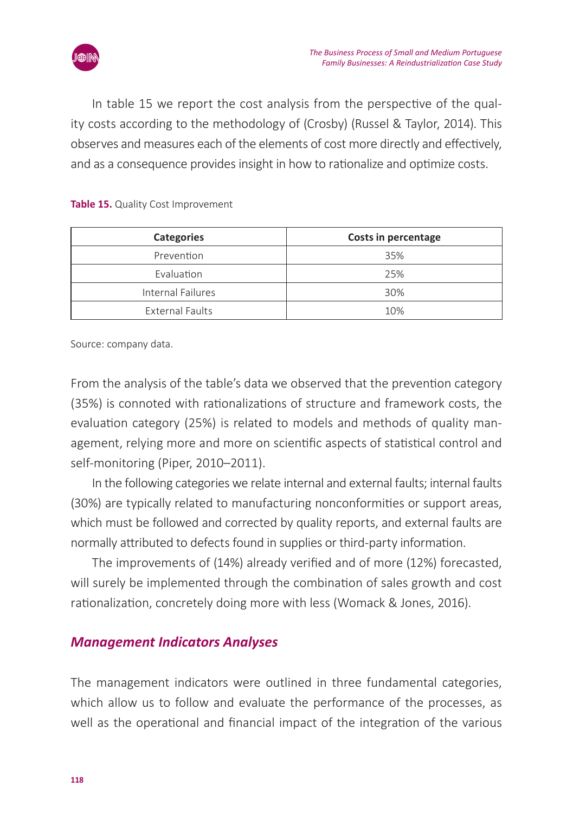

In table 15 we report the cost analysis from the perspective of the quality costs according to the methodology of (Crosby) (Russel & Taylor, 2014). This observes and measures each of the elements of cost more directly and effectively, and as a consequence provides insight in how to rationalize and optimize costs.

| Categories        | Costs in percentage |  |
|-------------------|---------------------|--|
| Prevention        | 35%                 |  |
| Evaluation        | 25%                 |  |
| Internal Failures | 30%                 |  |
| External Faults   | 10%                 |  |

#### **Table 15.** Quality Cost Improvement

Source: company data.

From the analysis of the table's data we observed that the prevention category (35%) is connoted with rationalizations of structure and framework costs, the evaluation category (25%) is related to models and methods of quality management, relying more and more on scientific aspects of statistical control and self-monitoring (Piper, 2010–2011).

In the following categories we relate internal and external faults; internal faults (30%) are typically related to manufacturing nonconformities or support areas, which must be followed and corrected by quality reports, and external faults are normally attributed to defects found in supplies or third-party information.

The improvements of (14%) already verified and of more (12%) forecasted, will surely be implemented through the combination of sales growth and cost rationalization, concretely doing more with less (Womack & Jones, 2016).

### *Management Indicators Analyses*

The management indicators were outlined in three fundamental categories, which allow us to follow and evaluate the performance of the processes, as well as the operational and financial impact of the integration of the various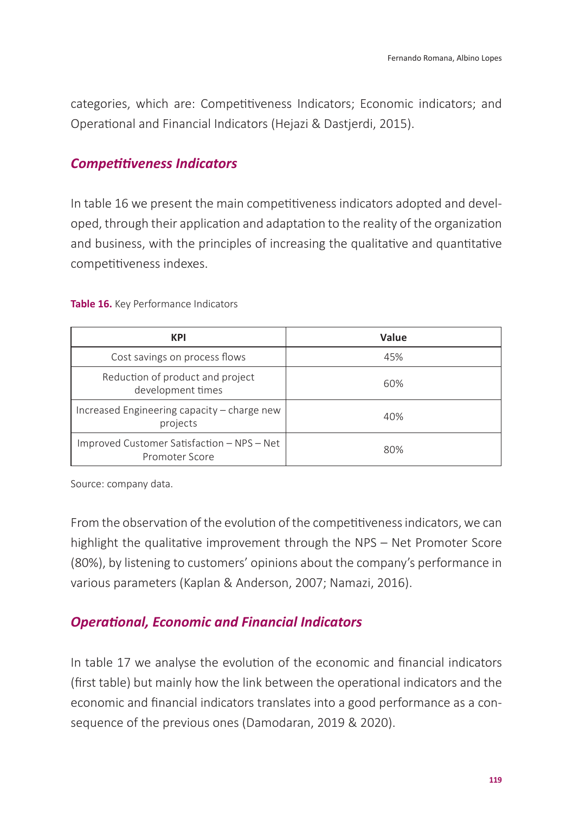categories, which are: Competitiveness Indicators; Economic indicators; and Operational and Financial Indicators (Hejazi & Dastjerdi, 2015).

### *Competitiveness Indicators*

In table 16 we present the main competitiveness indicators adopted and developed, through their application and adaptation to the reality of the organization and business, with the principles of increasing the qualitative and quantitative competitiveness indexes.

**Table 16.** Key Performance Indicators

| KPI                                                          | Value |
|--------------------------------------------------------------|-------|
| Cost savings on process flows                                | 45%   |
| Reduction of product and project<br>development times        | 60%   |
| Increased Engineering capacity – charge new<br>projects      | 40%   |
| Improved Customer Satisfaction - NPS - Net<br>Promoter Score | 80%   |

Source: company data.

From the observation of the evolution of the competitiveness indicators, we can highlight the qualitative improvement through the NPS – Net Promoter Score (80%), by listening to customers' opinions about the company's performance in various parameters (Kaplan & Anderson, 2007; Namazi, 2016).

### *Operational, Economic and Financial Indicators*

In table 17 we analyse the evolution of the economic and financial indicators (first table) but mainly how the link between the operational indicators and the economic and financial indicators translates into a good performance as a consequence of the previous ones (Damodaran, 2019 & 2020).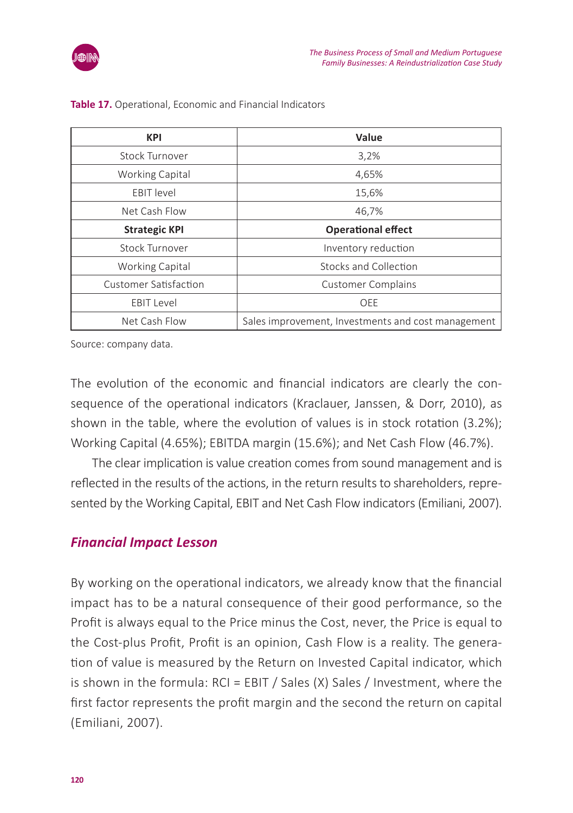

| <b>KPI</b>             | Value                                              |
|------------------------|----------------------------------------------------|
| <b>Stock Turnover</b>  | 3,2%                                               |
| Working Capital        | 4,65%                                              |
| <b>EBIT</b> level      | 15,6%                                              |
| Net Cash Flow          | 46,7%                                              |
| <b>Strategic KPI</b>   | <b>Operational effect</b>                          |
| <b>Stock Turnover</b>  | Inventory reduction                                |
| <b>Working Capital</b> | Stocks and Collection                              |
| Customer Satisfaction  | <b>Customer Complains</b>                          |
| <b>EBIT Level</b>      | OEE                                                |
| Net Cash Flow          | Sales improvement, Investments and cost management |

**Table 17.** Operational, Economic and Financial Indicators

Source: company data.

The evolution of the economic and financial indicators are clearly the consequence of the operational indicators (Kraclauer, Janssen, & Dorr, 2010), as shown in the table, where the evolution of values is in stock rotation (3.2%); Working Capital (4.65%); EBITDA margin (15.6%); and Net Cash Flow (46.7%).

The clear implication is value creation comes from sound management and is reflected in the results of the actions, in the return results to shareholders, represented by the Working Capital, EBIT and Net Cash Flow indicators (Emiliani, 2007).

### *Financial Impact Lesson*

By working on the operational indicators, we already know that the financial impact has to be a natural consequence of their good performance, so the Profit is always equal to the Price minus the Cost, never, the Price is equal to the Cost-plus Profit, Profit is an opinion, Cash Flow is a reality. The generation of value is measured by the Return on Invested Capital indicator, which is shown in the formula: RCI = EBIT / Sales (X) Sales / Investment, where the first factor represents the profit margin and the second the return on capital (Emiliani, 2007).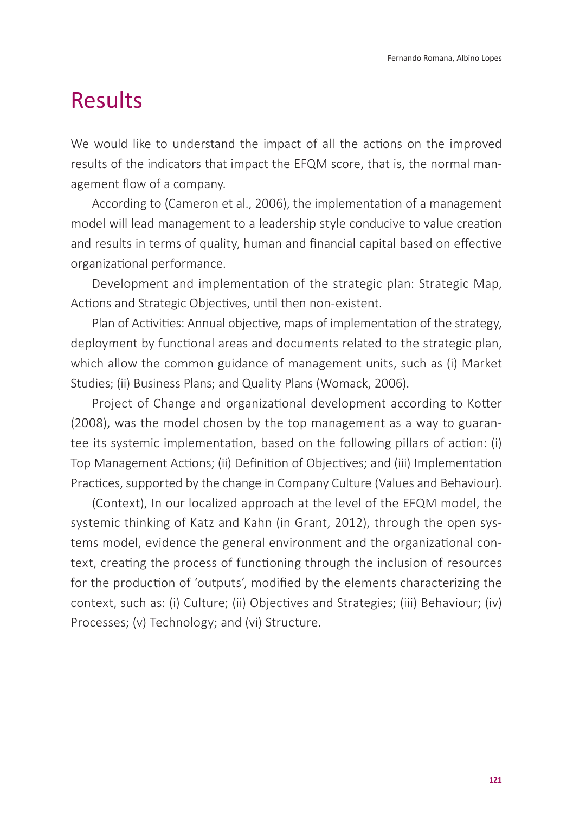# Results

We would like to understand the impact of all the actions on the improved results of the indicators that impact the EFQM score, that is, the normal management flow of a company.

According to (Cameron et al., 2006), the implementation of a management model will lead management to a leadership style conducive to value creation and results in terms of quality, human and financial capital based on effective organizational performance.

Development and implementation of the strategic plan: Strategic Map, Actions and Strategic Objectives, until then non-existent.

Plan of Activities: Annual objective, maps of implementation of the strategy, deployment by functional areas and documents related to the strategic plan, which allow the common guidance of management units, such as (i) Market Studies; (ii) Business Plans; and Quality Plans (Womack, 2006).

Project of Change and organizational development according to Kotter (2008), was the model chosen by the top management as a way to guarantee its systemic implementation, based on the following pillars of action: (i) Top Management Actions; (ii) Definition of Objectives; and (iii) Implementation Practices, supported by the change in Company Culture (Values and Behaviour).

(Context), In our localized approach at the level of the EFQM model, the systemic thinking of Katz and Kahn (in Grant, 2012), through the open systems model, evidence the general environment and the organizational context, creating the process of functioning through the inclusion of resources for the production of 'outputs', modified by the elements characterizing the context, such as: (i) Culture; (ii) Objectives and Strategies; (iii) Behaviour; (iv) Processes; (v) Technology; and (vi) Structure.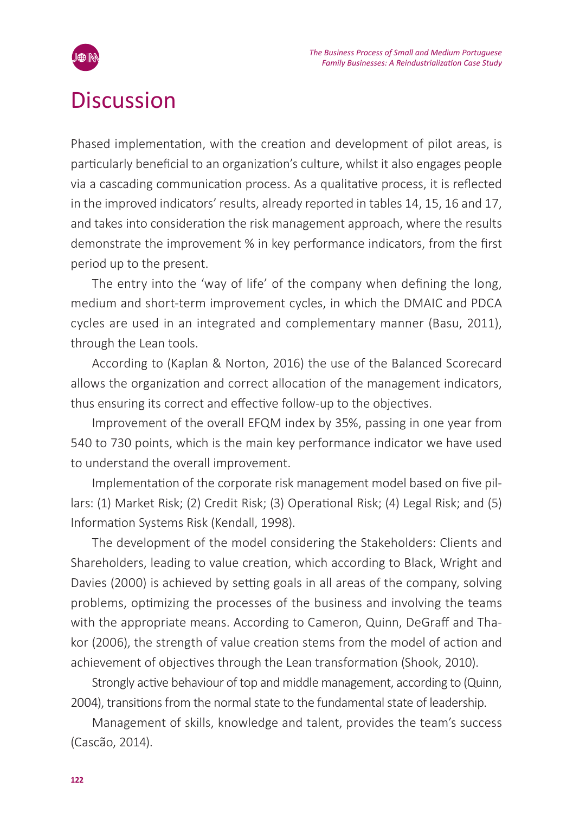

# **Discussion**

Phased implementation, with the creation and development of pilot areas, is particularly beneficial to an organization's culture, whilst it also engages people via a cascading communication process. As a qualitative process, it is reflected in the improved indicators' results, already reported in tables 14, 15, 16 and 17, and takes into consideration the risk management approach, where the results demonstrate the improvement % in key performance indicators, from the first period up to the present.

The entry into the 'way of life' of the company when defining the long, medium and short-term improvement cycles, in which the DMAIC and PDCA cycles are used in an integrated and complementary manner (Basu, 2011), through the Lean tools.

According to (Kaplan & Norton, 2016) the use of the Balanced Scorecard allows the organization and correct allocation of the management indicators, thus ensuring its correct and effective follow-up to the objectives.

Improvement of the overall EFQM index by 35%, passing in one year from 540 to 730 points, which is the main key performance indicator we have used to understand the overall improvement.

Implementation of the corporate risk management model based on five pillars: (1) Market Risk; (2) Credit Risk; (3) Operational Risk; (4) Legal Risk; and (5) Information Systems Risk (Kendall, 1998).

The development of the model considering the Stakeholders: Clients and Shareholders, leading to value creation, which according to Black, Wright and Davies (2000) is achieved by setting goals in all areas of the company, solving problems, optimizing the processes of the business and involving the teams with the appropriate means. According to Cameron, Quinn, DeGraff and Thakor (2006), the strength of value creation stems from the model of action and achievement of objectives through the Lean transformation (Shook, 2010).

Strongly active behaviour of top and middle management, according to (Quinn, 2004), transitions from the normal state to the fundamental state of leadership.

Management of skills, knowledge and talent, provides the team's success (Cascão, 2014).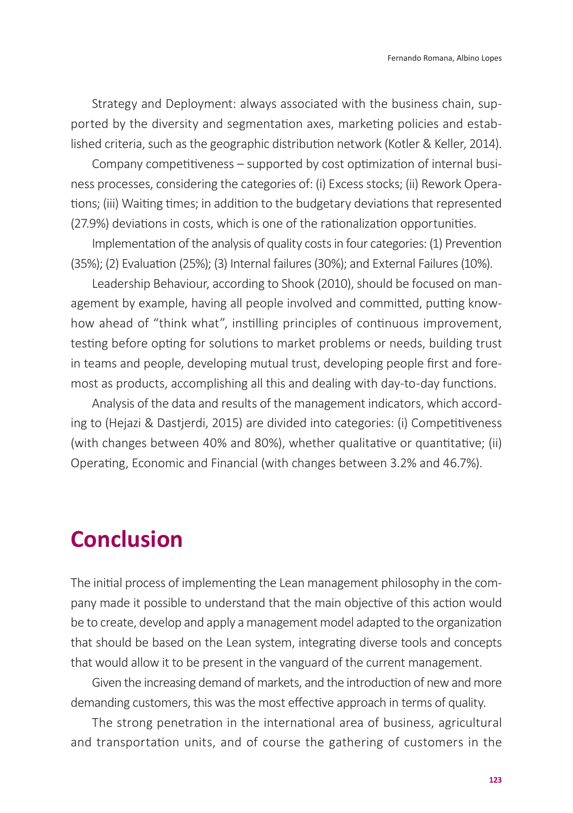Strategy and Deployment: always associated with the business chain, supported by the diversity and segmentation axes, marketing policies and established criteria, such as the geographic distribution network (Kotler & Keller, 2014).

Company competitiveness – supported by cost optimization of internal business processes, considering the categories of: (i) Excess stocks; (ii) Rework Operations; (iii) Waiting times; in addition to the budgetary deviations that represented (27.9%) deviations in costs, which is one of the rationalization opportunities.

Implementation of the analysis of quality costs in four categories: (1) Prevention (35%); (2) Evaluation (25%); (3) Internal failures (30%); and External Failures (10%).

Leadership Behaviour, according to Shook (2010), should be focused on management by example, having all people involved and committed, putting knowhow ahead of "think what", instilling principles of continuous improvement, testing before opting for solutions to market problems or needs, building trust in teams and people, developing mutual trust, developing people first and foremost as products, accomplishing all this and dealing with day-to-day functions.

Analysis of the data and results of the management indicators, which according to (Hejazi & Dastjerdi, 2015) are divided into categories: (i) Competitiveness (with changes between 40% and 80%), whether qualitative or quantitative; (ii) Operating, Economic and Financial (with changes between 3.2% and 46.7%).

# **Conclusion**

The initial process of implementing the Lean management philosophy in the company made it possible to understand that the main objective of this action would be to create, develop and apply a management model adapted to the organization that should be based on the Lean system, integrating diverse tools and concepts that would allow it to be present in the vanguard of the current management.

Given the increasing demand of markets, and the introduction of new and more demanding customers, this was the most effective approach in terms of quality.

The strong penetration in the international area of business, agricultural and transportation units, and of course the gathering of customers in the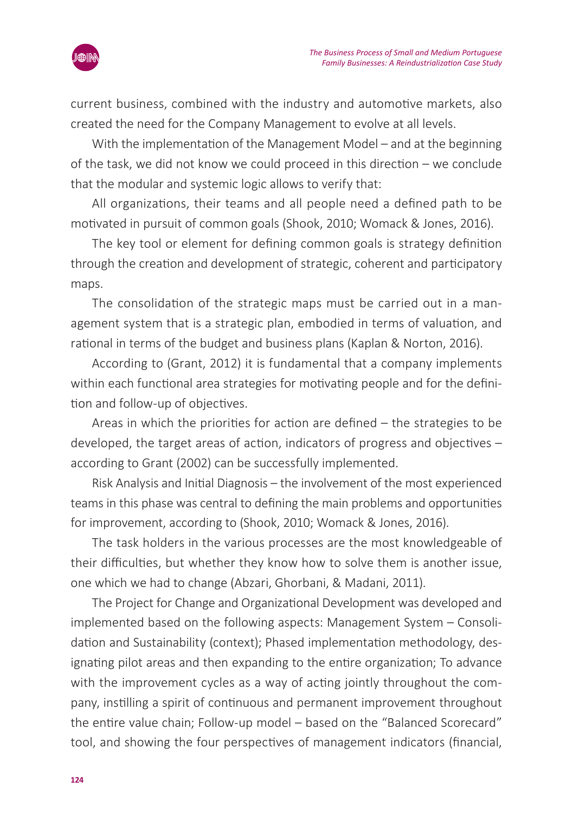

current business, combined with the industry and automotive markets, also created the need for the Company Management to evolve at all levels.

With the implementation of the Management Model – and at the beginning of the task, we did not know we could proceed in this direction – we conclude that the modular and systemic logic allows to verify that:

All organizations, their teams and all people need a defined path to be motivated in pursuit of common goals (Shook, 2010; Womack & Jones, 2016).

The key tool or element for defining common goals is strategy definition through the creation and development of strategic, coherent and participatory maps.

The consolidation of the strategic maps must be carried out in a management system that is a strategic plan, embodied in terms of valuation, and rational in terms of the budget and business plans (Kaplan & Norton, 2016).

According to (Grant, 2012) it is fundamental that a company implements within each functional area strategies for motivating people and for the definition and follow-up of objectives.

Areas in which the priorities for action are defined – the strategies to be developed, the target areas of action, indicators of progress and objectives – according to Grant (2002) can be successfully implemented.

Risk Analysis and Initial Diagnosis – the involvement of the most experienced teams in this phase was central to defining the main problems and opportunities for improvement, according to (Shook, 2010; Womack & Jones, 2016).

The task holders in the various processes are the most knowledgeable of their difficulties, but whether they know how to solve them is another issue, one which we had to change (Abzari, Ghorbani, & Madani, 2011).

The Project for Change and Organizational Development was developed and implemented based on the following aspects: Management System – Consolidation and Sustainability (context); Phased implementation methodology, designating pilot areas and then expanding to the entire organization; To advance with the improvement cycles as a way of acting jointly throughout the company, instilling a spirit of continuous and permanent improvement throughout the entire value chain; Follow-up model – based on the "Balanced Scorecard" tool, and showing the four perspectives of management indicators (financial,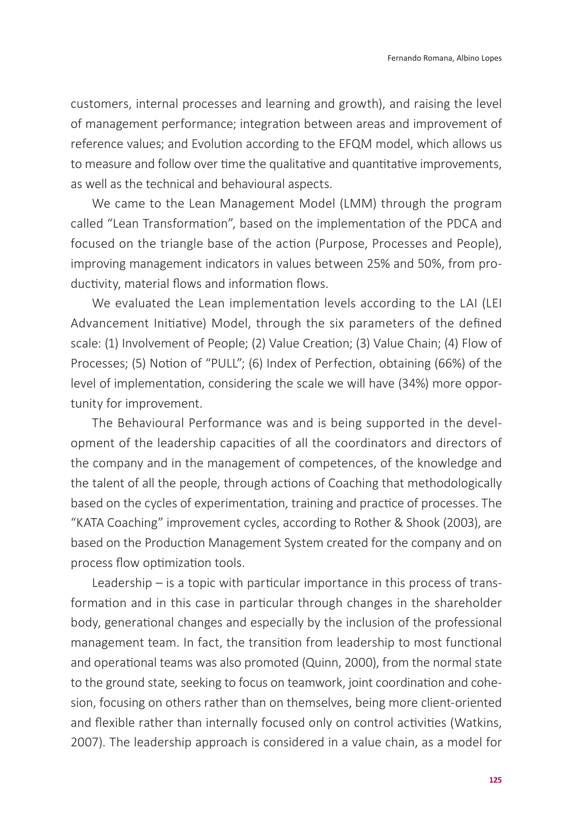customers, internal processes and learning and growth), and raising the level of management performance; integration between areas and improvement of reference values; and Evolution according to the EFQM model, which allows us to measure and follow over time the qualitative and quantitative improvements, as well as the technical and behavioural aspects.

We came to the Lean Management Model (LMM) through the program called "Lean Transformation", based on the implementation of the PDCA and focused on the triangle base of the action (Purpose, Processes and People), improving management indicators in values between 25% and 50%, from productivity, material flows and information flows.

We evaluated the Lean implementation levels according to the LAI (LEI Advancement Initiative) Model, through the six parameters of the defined scale: (1) Involvement of People; (2) Value Creation; (3) Value Chain; (4) Flow of Processes; (5) Notion of "PULL"; (6) Index of Perfection, obtaining (66%) of the level of implementation, considering the scale we will have (34%) more opportunity for improvement.

The Behavioural Performance was and is being supported in the development of the leadership capacities of all the coordinators and directors of the company and in the management of competences, of the knowledge and the talent of all the people, through actions of Coaching that methodologically based on the cycles of experimentation, training and practice of processes. The "KATA Coaching" improvement cycles, according to Rother & Shook (2003), are based on the Production Management System created for the company and on process flow optimization tools.

Leadership – is a topic with particular importance in this process of transformation and in this case in particular through changes in the shareholder body, generational changes and especially by the inclusion of the professional management team. In fact, the transition from leadership to most functional and operational teams was also promoted (Quinn, 2000), from the normal state to the ground state, seeking to focus on teamwork, joint coordination and cohesion, focusing on others rather than on themselves, being more client-oriented and flexible rather than internally focused only on control activities (Watkins, 2007). The leadership approach is considered in a value chain, as a model for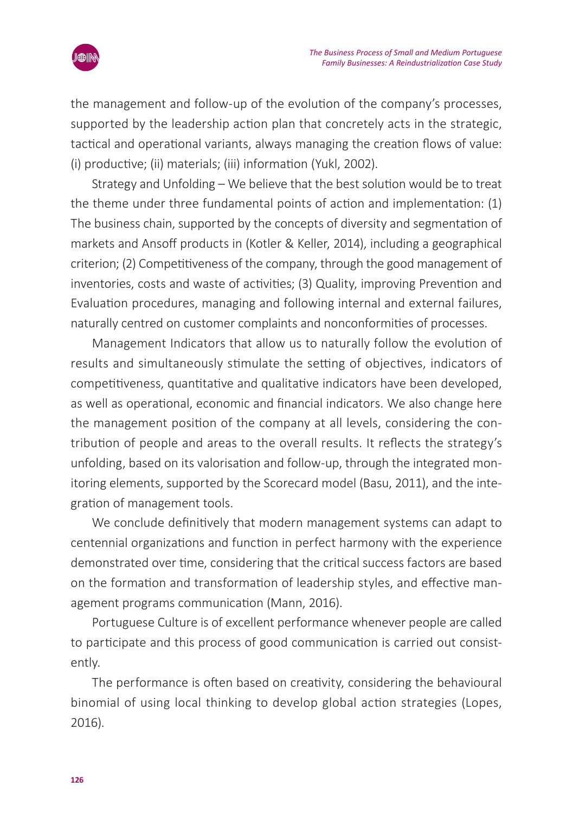

the management and follow-up of the evolution of the company's processes, supported by the leadership action plan that concretely acts in the strategic, tactical and operational variants, always managing the creation flows of value: (i) productive; (ii) materials; (iii) information (Yukl, 2002).

Strategy and Unfolding – We believe that the best solution would be to treat the theme under three fundamental points of action and implementation: (1) The business chain, supported by the concepts of diversity and segmentation of markets and Ansoff products in (Kotler & Keller, 2014), including a geographical criterion; (2) Competitiveness of the company, through the good management of inventories, costs and waste of activities; (3) Quality, improving Prevention and Evaluation procedures, managing and following internal and external failures, naturally centred on customer complaints and nonconformities of processes.

Management Indicators that allow us to naturally follow the evolution of results and simultaneously stimulate the setting of objectives, indicators of competitiveness, quantitative and qualitative indicators have been developed, as well as operational, economic and financial indicators. We also change here the management position of the company at all levels, considering the contribution of people and areas to the overall results. It reflects the strategy's unfolding, based on its valorisation and follow-up, through the integrated monitoring elements, supported by the Scorecard model (Basu, 2011), and the integration of management tools.

We conclude definitively that modern management systems can adapt to centennial organizations and function in perfect harmony with the experience demonstrated over time, considering that the critical success factors are based on the formation and transformation of leadership styles, and effective management programs communication (Mann, 2016).

Portuguese Culture is of excellent performance whenever people are called to participate and this process of good communication is carried out consistently.

The performance is often based on creativity, considering the behavioural binomial of using local thinking to develop global action strategies (Lopes, 2016).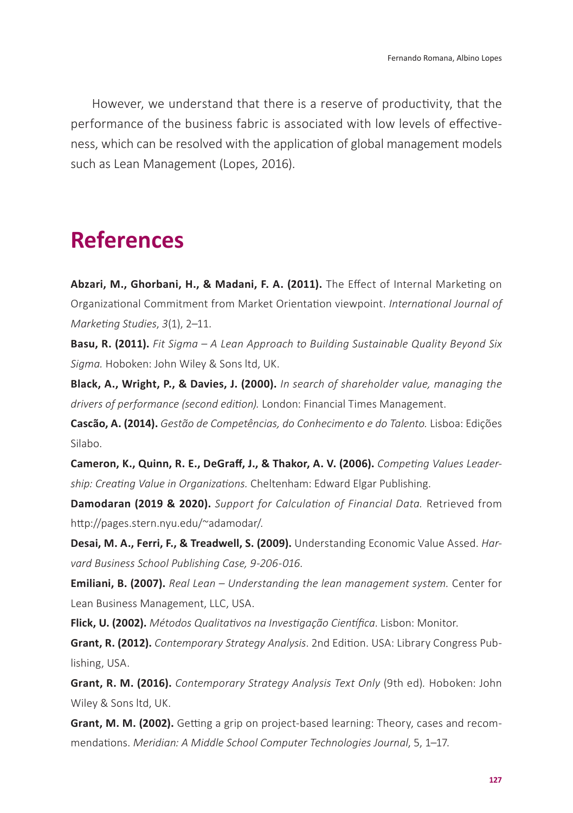However, we understand that there is a reserve of productivity, that the performance of the business fabric is associated with low levels of effectiveness, which can be resolved with the application of global management models such as Lean Management (Lopes, 2016).

# **References**

**Abzari, M., Ghorbani, H., & Madani, F. A. (2011).** The Effect of Internal Marketing on Organizational Commitment from Market Orientation viewpoint. *International Journal of Marketing Studies*, *3*(1), 2–11*.*

**Basu, R. (2011).** *Fit Sigma – A Lean Approach to Building Sustainable Quality Beyond Six Sigma.* Hoboken: John Wiley & Sons ltd, UK.

**Black, A., Wright, P., & Davies, J. (2000).** *In search of shareholder value, managing the drivers of performance (second edition).* London: Financial Times Management.

**Cascão, A. (2014).** *Gestão de Competências, do Conhecimento e do Talento.* Lisboa: Edições Silabo.

**Cameron, K., Quinn, R. E., DeGraff, J., & Thakor, A. V. (2006).** *Competing Values Leadership: Creating Value in Organizations.* Cheltenham: Edward Elgar Publishing.

**Damodaran (2019 & 2020).** *Support for Calculation of Financial Data.* Retrieved from [http://pages.stern.nyu.edu/~adamodar/.](http://pages.stern.nyu.edu/~adamodar/)

**Desai, M. A., Ferri, F., & Treadwell, S. (2009).** Understanding Economic Value Assed. *Harvard Business School Publishing Case, 9-206-016*.

**Emiliani, B. (2007).** *Real Lean – Understanding the lean management system.* Center for Lean Business Management, LLC, USA.

**Flick, U. (2002).** *Métodos Qualitativos na Investigação Científica*. Lisbon: Monitor.

**Grant, R. (2012).** *Contemporary Strategy Analysis*. 2nd Edition. USA: Library Congress Publishing, USA.

**Grant, R. M. (2016).** *Contemporary Strategy Analysis Text Only* (9th ed)*.* Hoboken: John Wiley & Sons ltd, UK.

**Grant, M. M. (2002).** Getting a grip on project-based learning: Theory, cases and recommendations. *Meridian: A Middle School Computer Technologies Journal*, 5, 1–17.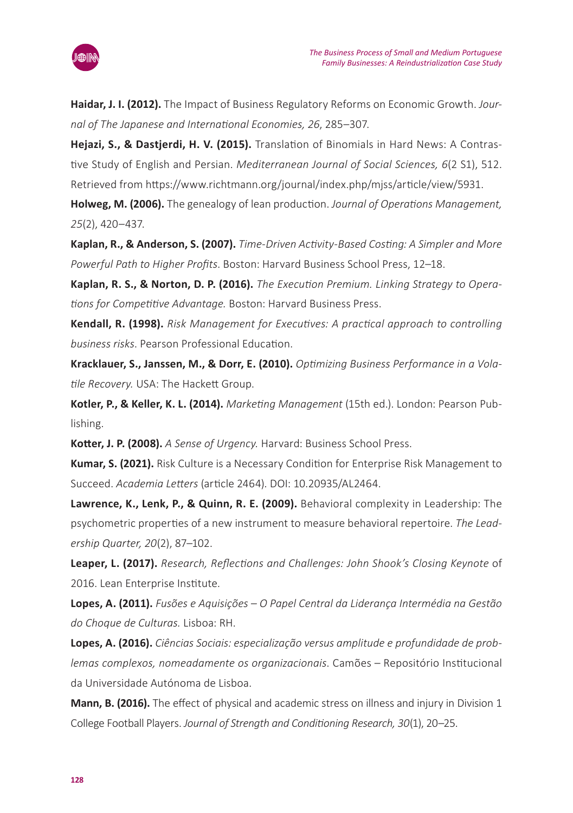

**Haidar, J. I. (2012).** The Impact of Business Regulatory Reforms on Economic Growth. *Journal of The Japanese and International Economies, 26*, 285–307.

**Hejazi, S., & Dastjerdi, H. V. (2015).** Translation of Binomials in Hard News: A Contrastive Study of English and Persian. *Mediterranean Journal of Social Sciences, 6*(2 S1), 512. Retrieved from https://www.richtmann.org/journal/index.php/mjss/article/view/5931.

**Holweg, M. (2006).** The genealogy of lean production. *Journal of Operations Management, 25*(2), 420–437.

**Kaplan, R., & Anderson, S. (2007).** *Time-Driven Activity-Based Costing: A Simpler and More Powerful Path to Higher Profits*. Boston: Harvard Business School Press, 12–18.

**Kaplan, R. S., & Norton, D. P. (2016).** *The Execution Premium. Linking Strategy to Operations for Competitive Advantage.* Boston: Harvard Business Press.

**Kendall, R. (1998).** *Risk Management for Executives: A practical approach to controlling business risks*. Pearson Professional Education.

**Kracklauer, S., Janssen, M., & Dorr, E. (2010).** *Optimizing Business Performance in a Volatile Recovery.* USA: The Hackett Group.

**Kotler, P., & Keller, K. L. (2014).** *Marketing Management* (15th ed.). London: Pearson Publishing.

**Kotter, J. P. (2008).** *A Sense of Urgency.* Harvard: Business School Press.

**Kumar, S. (2021).** Risk Culture is a Necessary Condition for Enterprise Risk Management to Succeed. *Academia Letters* (article 2464). DOI: 10.20935/AL2464.

**Lawrence, K., Lenk, P., & Quinn, R. E. (2009).** Behavioral complexity in Leadership: The psychometric properties of a new instrument to measure behavioral repertoire. *The Leadership Quarter, 20*(2), 87–102.

**Leaper, L. (2017).** *Research, Reflections and Challenges: John Shook's Closing Keynote* of 2016. Lean Enterprise Institute.

**Lopes, A. (2011).** *Fusões e Aquisições – O Papel Central da Liderança Intermédia na Gestão do Choque de Culturas.* Lisboa: RH.

**Lopes, A. (2016).** *Ciências Sociais: especialização versus amplitude e profundidade de problemas complexos, nomeadamente os organizacionais*. Camões – Repositório Institucional da Universidade Autónoma de Lisboa.

**Mann, B. (2016).** The effect of physical and academic stress on illness and injury in Division 1 College Football Players. *Journal of Strength and Conditioning Research, 30*(1), 20–25.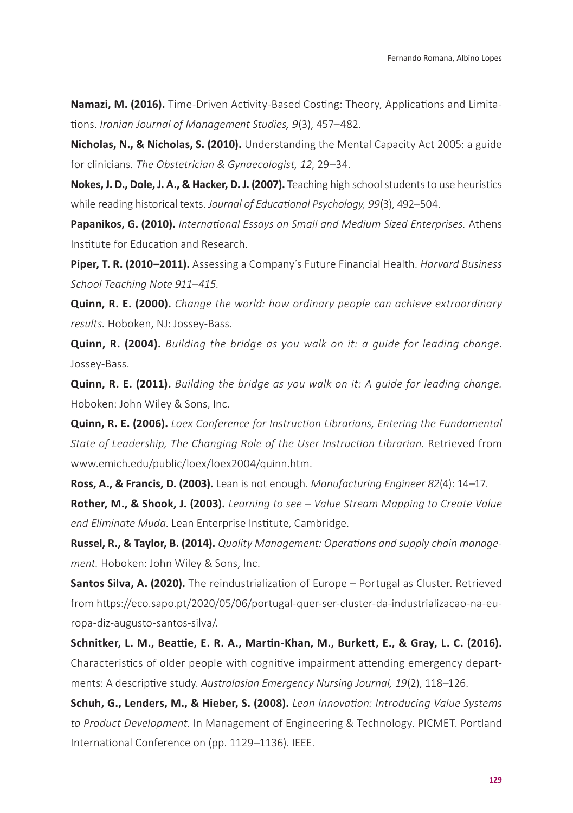**Namazi, M. (2016).** Time-Driven Activity-Based Costing: Theory, Applications and Limitations. *Iranian Journal of Management Studies, 9*(3), 457–482.

**Nicholas, N., & Nicholas, S. (2010).** Understanding the Mental Capacity Act 2005: a guide for clinicians*. The Obstetrician & Gynaecologist, 12*, 29–34.

**Nokes, J. D., Dole, J. A., & Hacker, D. J. (2007).** Teaching high school students to use heuristics while reading historical texts. *Journal of Educational Psychology, 99*(3), 492–504.

**Papanikos, G. (2010).** *International Essays on Small and Medium Sized Enterprises.* Athens Institute for Education and Research.

**Piper, T. R. (2010–2011).** Assessing a Company´s Future Financial Health. *Harvard Business School Teaching Note 911–415.*

**Quinn, R. E. (2000).** *Change the world: how ordinary people can achieve extraordinary results.* Hoboken, NJ: Jossey-Bass.

**Quinn, R. (2004).** *Building the bridge as you walk on it: a guide for leading change*. Jossey-Bass.

**Quinn, R. E. (2011).** *Building the bridge as you walk on it: A guide for leading change.*  Hoboken: John Wiley & Sons, Inc.

**Quinn, R. E. (2006).** *Loex Conference for Instruction Librarians, Entering the Fundamental State of Leadership, The Changing Role of the User Instruction Librarian.* Retrieved from [www.emich.edu/public/loex/loex2004/quinn.htm](http://www.emich.edu/public/loex/loex2004/quinn.htm).

**Ross, A., & Francis, D. (2003).** Lean is not enough. *Manufacturing Engineer 82*(4): 14–17. **Rother, M., & Shook, J. (2003).** *Learning to see – Value Stream Mapping to Create Value end Eliminate Muda*. Lean Enterprise Institute, Cambridge.

**Russel, R., & Taylor, B. (2014).** *Quality Management: Operations and supply chain management.* Hoboken: John Wiley & Sons, Inc.

**Santos Silva, A. (2020).** The reindustrialization of Europe – Portugal as Cluster. Retrieved from [https://eco.sapo.pt/2020/05/06/portugal-quer-ser-cluster-da-industrializacao-na-eu](https://eco.sapo.pt/2020/05/06/portugal-quer-ser-cluster-da-industrializacao-na-europa-diz-augusto-santos-silva/)[ropa-diz-augusto-santos-silva/.](https://eco.sapo.pt/2020/05/06/portugal-quer-ser-cluster-da-industrializacao-na-europa-diz-augusto-santos-silva/)

**Schnitker, L. M., Beattie, E. R. A., Martin-Khan, M., Burkett, E., & Gray, L. C. (2016).** Characteristics of older people [with cognitive impairment attending emergency depart](https://www.sciencedirect.com/science/article/pii/S1574626716300039)[ments: A descriptive study.](https://www.sciencedirect.com/science/article/pii/S1574626716300039) *Australasian Emergency Nursing Journal, 19*(2), 118–126.

**Schuh, G., Lenders, M., & Hieber, S. (2008).** *Lean Innovation: Introducing Value Systems to Product Development*. In Management of Engineering & Technology. PICMET. Portland International Conference on (pp. 1129–1136). IEEE.